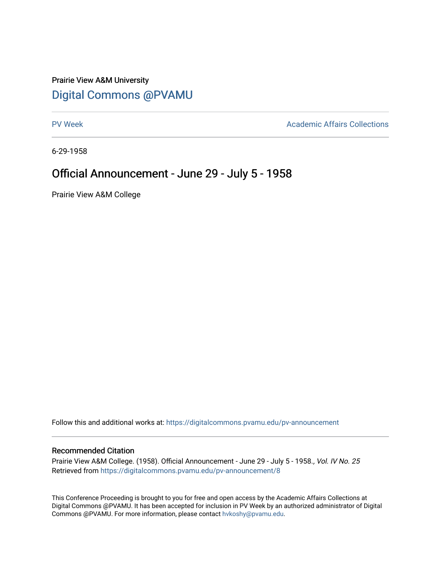## Prairie View A&M University [Digital Commons @PVAMU](https://digitalcommons.pvamu.edu/)

[PV Week](https://digitalcommons.pvamu.edu/pv-announcement) **Academic Affairs Collections** 

6-29-1958

## Official Announcement - June 29 - July 5 - 1958

Prairie View A&M College

Follow this and additional works at: [https://digitalcommons.pvamu.edu/pv-announcement](https://digitalcommons.pvamu.edu/pv-announcement?utm_source=digitalcommons.pvamu.edu%2Fpv-announcement%2F8&utm_medium=PDF&utm_campaign=PDFCoverPages) 

## Recommended Citation

Prairie View A&M College. (1958). Official Announcement - June 29 - July 5 - 1958., Vol. IV No. 25 Retrieved from [https://digitalcommons.pvamu.edu/pv-announcement/8](https://digitalcommons.pvamu.edu/pv-announcement/8?utm_source=digitalcommons.pvamu.edu%2Fpv-announcement%2F8&utm_medium=PDF&utm_campaign=PDFCoverPages)

This Conference Proceeding is brought to you for free and open access by the Academic Affairs Collections at Digital Commons @PVAMU. It has been accepted for inclusion in PV Week by an authorized administrator of Digital Commons @PVAMU. For more information, please contact [hvkoshy@pvamu.edu.](mailto:hvkoshy@pvamu.edu)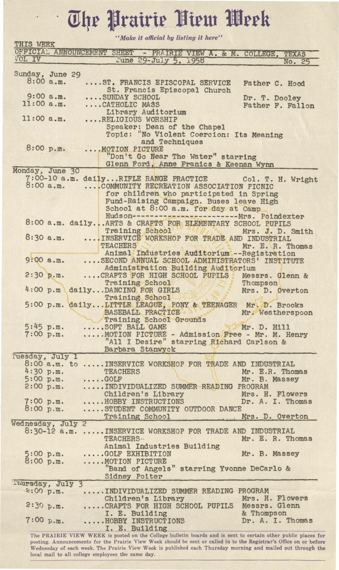## The Prairie View Week

 $\ddot{\phantom{0}}$ 

*''Make it official by listing it here"* 

| THIS WEEK                                                               |             |  | <i>cc oncease og crocereg</i>                                                                                                   |  |  |  |  |  |  |
|-------------------------------------------------------------------------|-------------|--|---------------------------------------------------------------------------------------------------------------------------------|--|--|--|--|--|--|
| VOL IV                                                                  |             |  | OFFICIAL ANNOUNCEMENT SHEET - PRAIRIE VIEW A. & M. COLLEGE, TEXAS<br>June 29-July 5, 1958                                       |  |  |  |  |  |  |
|                                                                         |             |  | No. 25                                                                                                                          |  |  |  |  |  |  |
| Sunday, June 29                                                         |             |  |                                                                                                                                 |  |  |  |  |  |  |
|                                                                         | 8:00a.m.    |  | ST. FRANCIS EPISCOPAL SERVICE<br>Father C. Hood                                                                                 |  |  |  |  |  |  |
|                                                                         | $9:00$ a.m. |  | St. Francis Episcopal Church<br>SUNDAY SCHOOL<br>Dr. T. Dooley                                                                  |  |  |  |  |  |  |
| 11:00 a.m.                                                              |             |  | CATHOLIC MASS<br>Father F. Fallon                                                                                               |  |  |  |  |  |  |
|                                                                         |             |  | Library Auditorium                                                                                                              |  |  |  |  |  |  |
| 11:00 a.m.                                                              |             |  | RELIGIOUS WORSHIP                                                                                                               |  |  |  |  |  |  |
| Speaker: Dean of the Chapel<br>Topic: "No Violent Coercion: Its Meaning |             |  |                                                                                                                                 |  |  |  |  |  |  |
| and Techniques                                                          |             |  |                                                                                                                                 |  |  |  |  |  |  |
|                                                                         | 8:00 p.m.   |  | MOTION PICTURE                                                                                                                  |  |  |  |  |  |  |
|                                                                         |             |  | "Don't Go Near The Water" starring                                                                                              |  |  |  |  |  |  |
| Monday, June 30                                                         |             |  | Glenn Ford, Anne Franics & Keenan Wynn                                                                                          |  |  |  |  |  |  |
|                                                                         |             |  | 7:00-10 a.m. daily RIFLE RANGE PRACTICE Col. T. H. Wright                                                                       |  |  |  |  |  |  |
|                                                                         | 8:00a.m.    |  | COMMUNITY RECREATION ASSOCIATION PICNIC                                                                                         |  |  |  |  |  |  |
|                                                                         |             |  | for children who participated in Spring                                                                                         |  |  |  |  |  |  |
|                                                                         |             |  | Fund-Raising Campaign. Buses leave High                                                                                         |  |  |  |  |  |  |
|                                                                         |             |  | School at 8:00 a.m. for day at Camp<br>Hudson-------------------------- Mrs. Poindexter                                         |  |  |  |  |  |  |
|                                                                         |             |  | 8:00 a.m. dailyARTS & CRAFTS FOR ELEMENTARY SCHOOL PUPILS                                                                       |  |  |  |  |  |  |
|                                                                         |             |  | Training School Millet Mrs. J. D. Smith                                                                                         |  |  |  |  |  |  |
|                                                                         | 8:30a.m.    |  | INSERVICE WORKSHOP FOR TRADE AND INDUSTRIAL                                                                                     |  |  |  |  |  |  |
|                                                                         |             |  | TEACHERS NAMED IN<br>Mr. E. R. Thomas                                                                                           |  |  |  |  |  |  |
|                                                                         | $9:00$ a.m. |  | Animal Industries Auditorium -- Registration<br>SECOND ANNUAL SCHOOL ADMINISTRATORS' INSTITUTE                                  |  |  |  |  |  |  |
|                                                                         |             |  | Administration Building Auditorium                                                                                              |  |  |  |  |  |  |
| 2:30 p.m.                                                               |             |  | CRAFTS FOR HIGH SCHOOL PUPILS Messrs. Glenn &                                                                                   |  |  |  |  |  |  |
|                                                                         |             |  | Training School<br>Thompson<br>all E                                                                                            |  |  |  |  |  |  |
|                                                                         |             |  | 4:00 p.m dailyDANCING FOR GIRLS<br>Mrs. D. Overton<br>Training School                                                           |  |  |  |  |  |  |
|                                                                         |             |  | 5:00 p.m. dailyLITTLE LEAGUE, PONY & TEENAGER Mr. D. Brooks                                                                     |  |  |  |  |  |  |
|                                                                         |             |  | BASEBALL PRACTICE .<br>Mr. Weatherspoon                                                                                         |  |  |  |  |  |  |
|                                                                         |             |  | Training School Grounds                                                                                                         |  |  |  |  |  |  |
| 5:45 p.m.<br>7:00 p.m.                                                  |             |  | SOFT BALL GAME<br>Mr. D. Hill<br>MOTION PICTURE - Admission Free - Mr. M. Henry                                                 |  |  |  |  |  |  |
|                                                                         |             |  | "All I Desire" starring Richard Carlson &                                                                                       |  |  |  |  |  |  |
|                                                                         |             |  | Barbara Stanwyck                                                                                                                |  |  |  |  |  |  |
| Tuesday, July 1                                                         |             |  |                                                                                                                                 |  |  |  |  |  |  |
| 4:30 p.m.                                                               |             |  | 8:00 a.m. to  INSERVICE WORKSHOP FOR TRADE AND INDUSTRIAL<br>Mr. E.R. Thomas<br><b>TEACHERS</b>                                 |  |  |  |  |  |  |
| 5:00 p.m.                                                               |             |  | $\ldots$ . GOLF<br>Mr. B. Massey                                                                                                |  |  |  |  |  |  |
| 2:00 p.m.                                                               |             |  | INDIVIDUALIZED SUMMER READING PROGRAM                                                                                           |  |  |  |  |  |  |
|                                                                         |             |  | Children's Library Mrs. H. Flowers<br>HOBBY INSTRUCTIONS Dr. A. I. Thomas                                                       |  |  |  |  |  |  |
| 7:00 p.m.                                                               |             |  | Dr. A. I. Thomas                                                                                                                |  |  |  |  |  |  |
| 8:00 p.m.                                                               |             |  | STUDENT COMMUNITY OUTDOOR DANCE<br>Training School<br>Mrs. D. Overton                                                           |  |  |  |  |  |  |
| Wednesday, July 2                                                       |             |  |                                                                                                                                 |  |  |  |  |  |  |
|                                                                         |             |  | 8:30-12 a.m.  INSERVICE WORKSHOP FOR TRADE AND INDUSTRIAL                                                                       |  |  |  |  |  |  |
|                                                                         |             |  | TEACHERS-<br>Mr. E. R. Thomas                                                                                                   |  |  |  |  |  |  |
| 5:00 p.m.                                                               |             |  | Animal Industries Building<br>GOLF EXHIBITION<br>Mr. B. Massey                                                                  |  |  |  |  |  |  |
| 8:00 p.m.                                                               |             |  | MOTION PICTURE                                                                                                                  |  |  |  |  |  |  |
|                                                                         |             |  | "Band of Angels" starring Yvonne DeCarlo &                                                                                      |  |  |  |  |  |  |
|                                                                         |             |  | Sidney Poiter                                                                                                                   |  |  |  |  |  |  |
| Thursday, July 3<br>2:00 p.m.                                           |             |  | INDIVIDUALIZED SUMMER READING PROGRAM                                                                                           |  |  |  |  |  |  |
|                                                                         |             |  | Mrs. H. Flowers<br>Children's Library                                                                                           |  |  |  |  |  |  |
|                                                                         | 2:30 p.m.   |  | CRAFTS FOR HIGH SCHOOL PUPILS Messrs. Glenn                                                                                     |  |  |  |  |  |  |
|                                                                         |             |  | & Thompson<br>I. E. Building                                                                                                    |  |  |  |  |  |  |
|                                                                         | 7:00 p.m.   |  | HOBBY INSTRUCTIONS<br>Dr. A. I. Thomas                                                                                          |  |  |  |  |  |  |
|                                                                         |             |  | I. E. Building<br>The PRAIRIE VIEW WEEK is posted on the College bulletin boards and is sent to certain other public places for |  |  |  |  |  |  |

posting. Announcements for the Prairie View Week should be sent or called in to the Registrar's Office on or before Wednesday of each week. The Prairie View Week is published each Thursday morning and mailed out through the local mail to all college employees the same day.